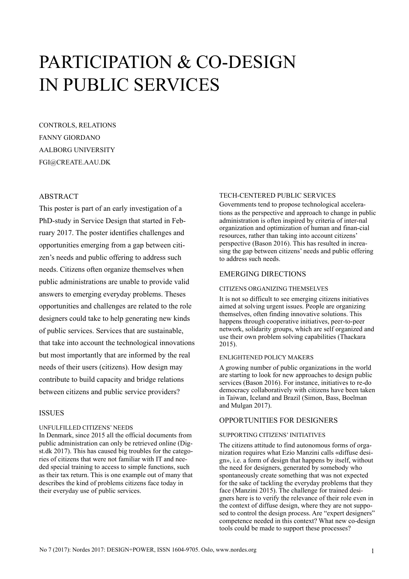# PARTICIPATION & CO-DESIGN IN PUBLIC SERVICES

CONTROLS, RELATIONS FANNY GIORDANO AALBORG UNIVERSITY FGI@CREATE.AAU.DK

## ABSTRACT

This poster is part of an early investigation of a PhD-study in Service Design that started in February 2017. The poster identifies challenges and opportunities emerging from a gap between citizen's needs and public offering to address such needs. Citizens often organize themselves when public administrations are unable to provide valid answers to emerging everyday problems. Theses opportunities and challenges are related to the role designers could take to help generating new kinds of public services. Services that are sustainable, that take into account the technological innovations but most importantly that are informed by the real needs of their users (citizens). How design may contribute to build capacity and bridge relations between citizens and public service providers?

## ISSUES

#### UNFULFILLED CITIZENS' NEEDS

In Denmark, since 2015 all the official documents from public administration can only be retrieved online (Digst.dk 2017). This has caused big troubles for the categories of citizens that were not familiar with IT and needed special training to access to simple functions, such as their tax return. This is one example out of many that describes the kind of problems citizens face today in their everyday use of public services.

#### TECH-CENTERED PUBLIC SERVICES

Governments tend to propose technological accelerations as the perspective and approach to change in public administration is often inspired by criteria of inter-nal organization and optimization of human and finan-cial resources, rather than taking into account citizens' perspective (Bason 2016). This has resulted in increasing the gap between citizens' needs and public offering to address such needs.

# EMERGING DIRECTIONS

#### CITIZENS ORGANIZING THEMSELVES

It is not so difficult to see emerging citizens initiatives aimed at solving urgent issues. People are organizing themselves, often finding innovative solutions. This happens through cooperative initiatives, peer-to-peer network, solidarity groups, which are self organized and use their own problem solving capabilities (Thackara 2015).

#### ENLIGHTENED POLICY MAKERS

A growing number of public organizations in the world are starting to look for new approaches to design public services (Bason 2016). For instance, initiatives to re-do democracy collaboratively with citizens have been taken in Taiwan, Iceland and Brazil (Simon, Bass, Boelman and Mulgan 2017).

## OPPORTUNITIES FOR DESIGNERS

#### SUPPORTING CITIZENS' INITIATIVES

The citizens attitude to find autonomous forms of organization requires what Ezio Manzini calls «diffuse design», i.e. a form of design that happens by itself, without the need for designers, generated by somebody who spontaneously create something that was not expected for the sake of tackling the everyday problems that they face (Manzini 2015). The challenge for trained designers here is to verify the relevance of their role even in the context of diffuse design, where they are not supposed to control the design process. Are "expert designers" competence needed in this context? What new co-design tools could be made to support these processes?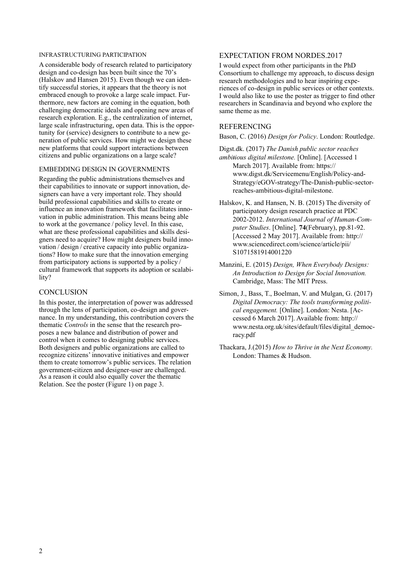#### INFRASTRUCTURING PARTICIPATION

A considerable body of research related to participatory design and co-design has been built since the 70's (Halskov and Hansen 2015). Even though we can identify successful stories, it appears that the theory is not embraced enough to provoke a large scale impact. Furthermore, new factors are coming in the equation, both challenging democratic ideals and opening new areas of research exploration. E.g., the centralization of internet, large scale infrastructuring, open data. This is the opportunity for (service) designers to contribute to a new generation of public services. How might we design these new platforms that could support interactions between citizens and public organizations on a large scale?

## EMBEDDING DESIGN IN GOVERNMENTS

Regarding the public administrations themselves and their capabilities to innovate or support innovation, designers can have a very important role. They should build professional capabilities and skills to create or influence an innovation framework that facilitates innovation in public administration. This means being able to work at the governance / policy level. In this case, what are these professional capabilities and skills designers need to acquire? How might designers build innovation / design / creative capacity into public organizations? How to make sure that the innovation emerging from participatory actions is supported by a policy / cultural framework that supports its adoption or scalability?

#### **CONCLUSION**

In this poster, the interpretation of power was addressed through the lens of participation, co-design and governance. In my understanding, this contribution covers the thematic *Controls* in the sense that the research proposes a new balance and distribution of power and control when it comes to designing public services. Both designers and public organizations are called to recognize citizens' innovative initiatives and empower them to create tomorrow's public services. The relation government-citizen and designer-user are challenged. As a reason it could also equally cover the thematic Relation. See the poster (Figure 1) on page 3.

# EXPECTATION FROM NORDES.2017

I would expect from other participants in the PhD Consortium to challenge my approach, to discuss design research methodologies and to hear inspiring experiences of co-design in public services or other contexts. I would also like to use the poster as trigger to find other researchers in Scandinavia and beyond who explore the same theme as me.

## REFERENCING

Bason, C. (2016) *Design for Policy*. London: Routledge.

Digst.dk. (2017) *The Danish public sector reaches ambitious digital milestone.* [Online]. [Accessed 1 March 2017]. Available from: https:// www.digst.dk/Servicemenu/English/Policy-and-Strategy/eGOV-strategy/The-Danish-public-sectorreaches-ambitious-digital-milestone.

- Halskov, K. and Hansen, N. B. (2015) The diversity of participatory design research practice at PDC 2002-2012. *International Journal of Human-Computer Studies*. [Online]. **74**(February), pp.81-92. [Accessed 2 May 2017]. Available from: http:// www.sciencedirect.com/science/article/pii/ S1071581914001220
- Manzini, E. (2015) *Design, When Everybody Designs: An Introduction to Design for Social Innovation.* Cambridge, Mass: The MIT Press.
- Simon, J., Bass, T., Boelman, V. and Mulgan, G. (2017) *Digital Democracy: The tools transforming political engagement.* [Online]. London: Nesta. [Accessed 6 March 2017]. Available from: http:// www.nesta.org.uk/sites/default/files/digital\_democracy.pdf

Thackara, J.(2015) *How to Thrive in the Next Economy.*  London: Thames & Hudson.